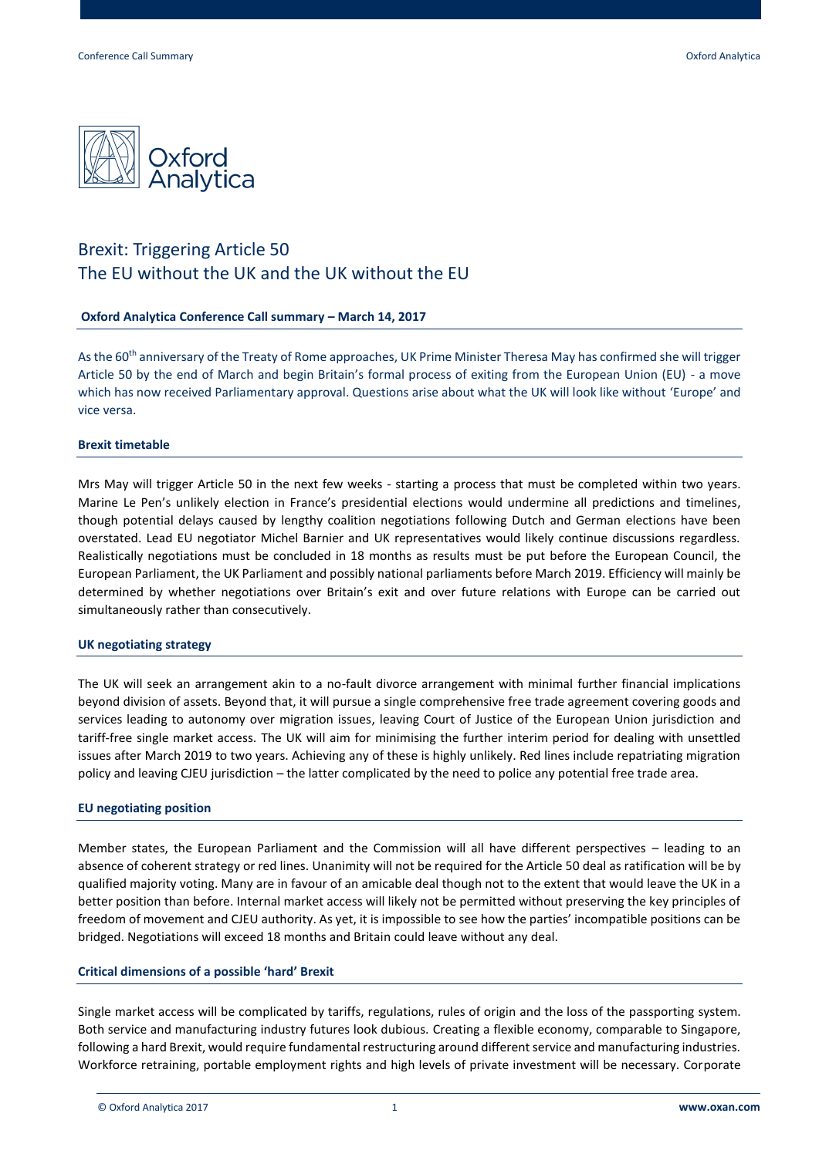

# Brexit: Triggering Article 50 The EU without the UK and the UK without the EU

## **Oxford Analytica Conference Call summary – March 14, 2017**

As the 60<sup>th</sup> anniversary of the Treaty of Rome approaches, UK Prime Minister Theresa May has confirmed she will trigger Article 50 by the end of March and begin Britain's formal process of exiting from the European Union (EU) - a move which has now received Parliamentary approval. Questions arise about what the UK will look like without 'Europe' and vice versa.

## **Brexit timetable**

Mrs May will trigger Article 50 in the next few weeks - starting a process that must be completed within two years. Marine Le Pen's unlikely election in France's presidential elections would undermine all predictions and timelines, though potential delays caused by lengthy coalition negotiations following Dutch and German elections have been overstated. Lead EU negotiator Michel Barnier and UK representatives would likely continue discussions regardless. Realistically negotiations must be concluded in 18 months as results must be put before the European Council, the European Parliament, the UK Parliament and possibly national parliaments before March 2019. Efficiency will mainly be determined by whether negotiations over Britain's exit and over future relations with Europe can be carried out simultaneously rather than consecutively.

#### **UK negotiating strategy**

The UK will seek an arrangement akin to a no-fault divorce arrangement with minimal further financial implications beyond division of assets. Beyond that, it will pursue a single comprehensive free trade agreement covering goods and services leading to autonomy over migration issues, leaving Court of Justice of the European Union jurisdiction and tariff-free single market access. The UK will aim for minimising the further interim period for dealing with unsettled issues after March 2019 to two years. Achieving any of these is highly unlikely. Red lines include repatriating migration policy and leaving CJEU jurisdiction – the latter complicated by the need to police any potential free trade area.

#### **EU negotiating position**

Member states, the European Parliament and the Commission will all have different perspectives – leading to an absence of coherent strategy or red lines. Unanimity will not be required for the Article 50 deal as ratification will be by qualified majority voting. Many are in favour of an amicable deal though not to the extent that would leave the UK in a better position than before. Internal market access will likely not be permitted without preserving the key principles of freedom of movement and CJEU authority. As yet, it is impossible to see how the parties' incompatible positions can be bridged. Negotiations will exceed 18 months and Britain could leave without any deal.

#### **Critical dimensions of a possible 'hard' Brexit**

Single market access will be complicated by tariffs, regulations, rules of origin and the loss of the passporting system. Both service and manufacturing industry futures look dubious. Creating a flexible economy, comparable to Singapore, following a hard Brexit, would require fundamental restructuring around different service and manufacturing industries. Workforce retraining, portable employment rights and high levels of private investment will be necessary. Corporate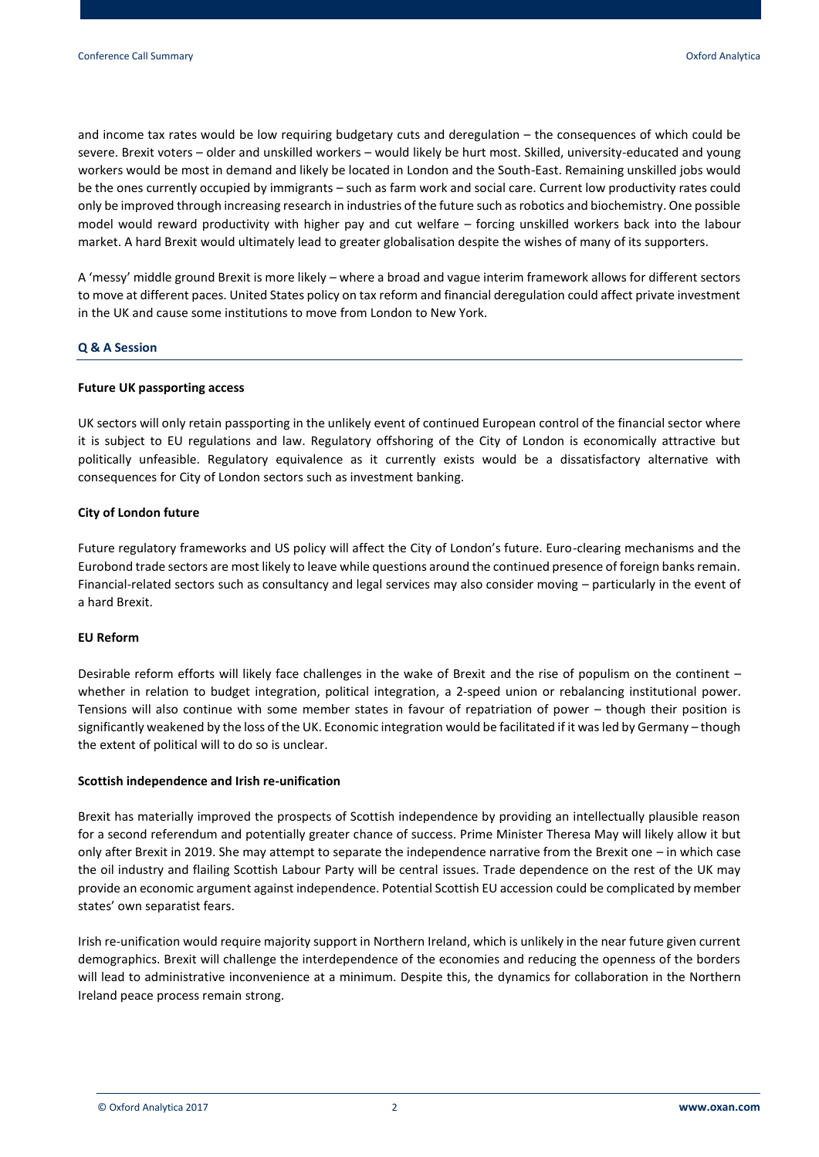and income tax rates would be low requiring budgetary cuts and deregulation – the consequences of which could be severe. Brexit voters – older and unskilled workers – would likely be hurt most. Skilled, university-educated and young workers would be most in demand and likely be located in London and the South-East. Remaining unskilled jobs would be the ones currently occupied by immigrants – such as farm work and social care. Current low productivity rates could only be improved through increasing research in industries of the future such as robotics and biochemistry. One possible model would reward productivity with higher pay and cut welfare – forcing unskilled workers back into the labour market. A hard Brexit would ultimately lead to greater globalisation despite the wishes of many of its supporters.

A 'messy' middle ground Brexit is more likely – where a broad and vague interim framework allows for different sectors to move at different paces. United States policy on tax reform and financial deregulation could affect private investment in the UK and cause some institutions to move from London to New York.

## **Q & A Session**

#### **Future UK passporting access**

UK sectors will only retain passporting in the unlikely event of continued European control of the financial sector where it is subject to EU regulations and law. Regulatory offshoring of the City of London is economically attractive but politically unfeasible. Regulatory equivalence as it currently exists would be a dissatisfactory alternative with consequences for City of London sectors such as investment banking.

## **City of London future**

Future regulatory frameworks and US policy will affect the City of London's future. Euro-clearing mechanisms and the Eurobond trade sectors are most likely to leave while questions around the continued presence of foreign banks remain. Financial-related sectors such as consultancy and legal services may also consider moving – particularly in the event of a hard Brexit.

# **EU Reform**

Desirable reform efforts will likely face challenges in the wake of Brexit and the rise of populism on the continent – whether in relation to budget integration, political integration, a 2-speed union or rebalancing institutional power. Tensions will also continue with some member states in favour of repatriation of power – though their position is significantly weakened by the loss of the UK. Economic integration would be facilitated if it wasled by Germany – though the extent of political will to do so is unclear.

#### **Scottish independence and Irish re-unification**

Brexit has materially improved the prospects of Scottish independence by providing an intellectually plausible reason for a second referendum and potentially greater chance of success. Prime Minister Theresa May will likely allow it but only after Brexit in 2019. She may attempt to separate the independence narrative from the Brexit one – in which case the oil industry and flailing Scottish Labour Party will be central issues. Trade dependence on the rest of the UK may provide an economic argument against independence. Potential Scottish EU accession could be complicated by member states' own separatist fears.

Irish re-unification would require majority support in Northern Ireland, which is unlikely in the near future given current demographics. Brexit will challenge the interdependence of the economies and reducing the openness of the borders will lead to administrative inconvenience at a minimum. Despite this, the dynamics for collaboration in the Northern Ireland peace process remain strong.